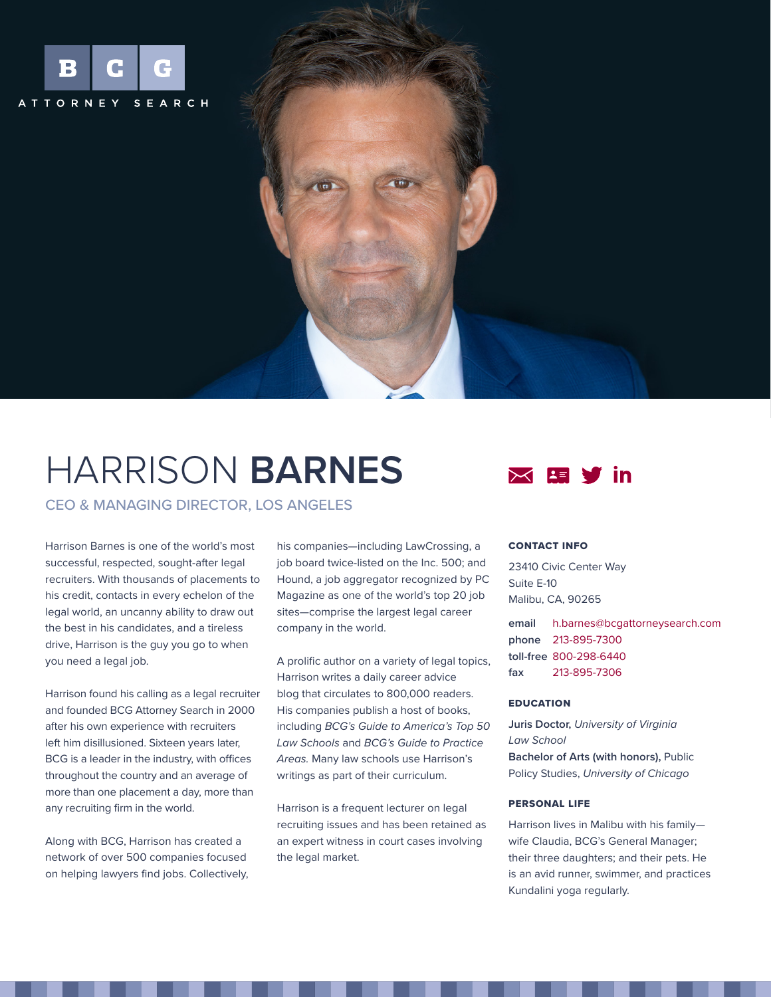

# HARRISON **BARNES**

CEO & MANAGING DIRECTOR, LOS ANGELES

Harrison Barnes is one of the world's most successful, respected, sought-after legal recruiters. With thousands of placements to his credit, contacts in every echelon of the legal world, an uncanny ability to draw out the best in his candidates, and a tireless drive, Harrison is the guy you go to when you need a legal job.

Harrison found his calling as a legal recruiter and founded BCG Attorney Search in 2000 after his own experience with recruiters left him disillusioned. Sixteen years later, BCG is a leader in the industry, with offices throughout the country and an average of more than one placement a day, more than any recruiting firm in the world.

Along with BCG, Harrison has created a network of over 500 companies focused on helping lawyers find jobs. Collectively, his companies—including LawCrossing, a job board twice-listed on the Inc. 500; and Hound, a job aggregator recognized by PC Magazine as one of the world's top 20 job sites—comprise the largest legal career company in the world.

A prolific author on a variety of legal topics, Harrison writes a daily career advice blog that circulates to 800,000 readers. His companies publish a host of books, including *BCG's Guide to America's Top 50 Law Schools* and *BCG's Guide to Practice Areas.* Many law schools use Harrison's writings as part of their curriculum.

Harrison is a frequent lecturer on legal recruiting issues and has been retained as an expert witness in court cases involving the legal market.



## CONTACT INFO

23410 Civic Center Way Suite E-10 Malibu, CA, 90265

**email** [h.barnes@bcgattorneysearch.com](mailto:h.barnes%40bcgattorneysearch.com?subject=) **phone** [213-895-7300](tel:2138957300) **toll-free** [800-298-6440](tel:8002986440) **fax** [213-895-7306](tel:21389507306)

### **EDUCATION**

**Juris Doctor,** *University of Virginia Law School* **Bachelor of Arts (with honors),** Public Policy Studies, *University of Chicago*

#### PERSONAL LIFE

Harrison lives in Malibu with his family wife Claudia, BCG's General Manager; their three daughters; and their pets. He is an avid runner, swimmer, and practices Kundalini yoga regularly.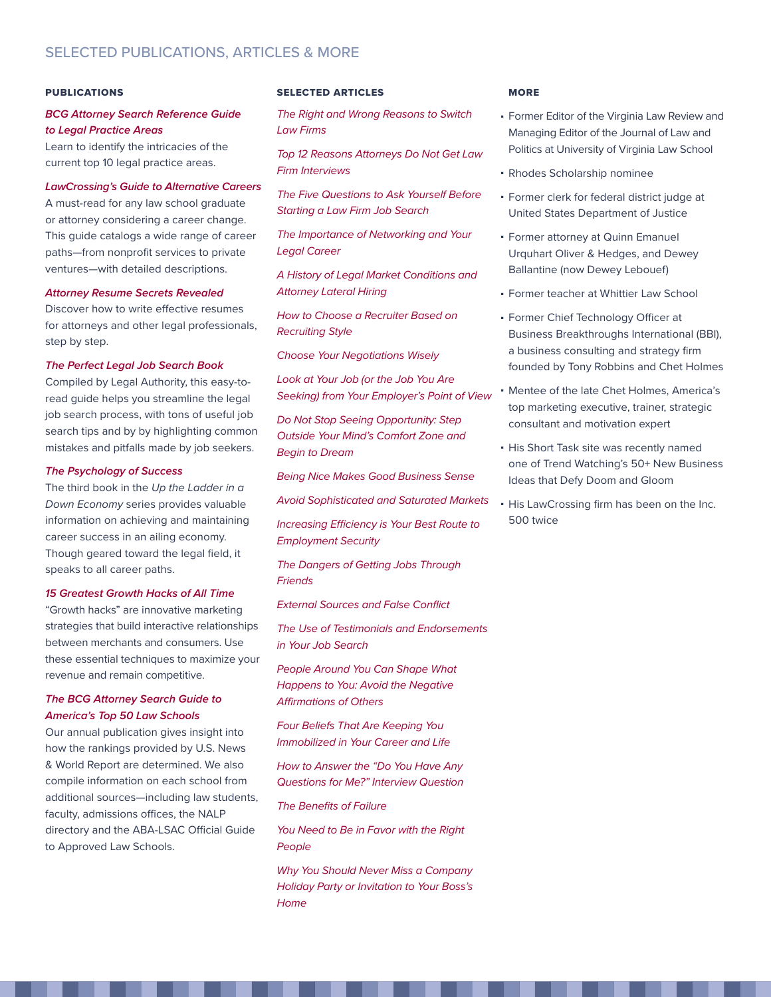#### PUBLICATIONS

## *[BCG Attorney Search Reference Guide](http://www.amazon.com/gp/product/B005FLPAH2/ref=as_li_tf_tl?ie=UTF8&tag=employmen-20&linkCode=as2&camp=217145&creative=399373&creativeASIN=B005FLPAH2) [to Legal Practice Areas](http://www.amazon.com/gp/product/B005FLPAH2/ref=as_li_tf_tl?ie=UTF8&tag=employmen-20&linkCode=as2&camp=217145&creative=399373&creativeASIN=B005FLPAH2)*

Learn to identify the intricacies of the current top 10 legal practice areas.

# *[LawCrossing's Guide to Alternative Careers](http://www.amazon.com/gp/product/B005FGAUT0/ref=as_li_tf_tl?ie=UTF8&tag=employmen-20&linkCode=as2&camp=217145&creative=399373&creativeASIN=B005FGAUT0)*

A must-read for any law school graduate or attorney considering a career change. This guide catalogs a wide range of career paths—from nonprofit services to private ventures—with detailed descriptions.

### *[Attorney Resume Secrets Revealed](http://www.amazon.com/gp/product/B005F9R130/ref=as_li_tl?ie=UTF8&camp=211189&creative=373489&creativeASIN=B005F9R130&link_code=as3&tag=emploreseai0d-20&linkId=GFSO5WOKL55LAYP6)*

Discover how to write effective resumes for attorneys and other legal professionals, step by step.

#### *[The Perfect Legal Job Search Book](http://www.amazon.com/gp/product/B005FMPEX6/ref=as_li_tl?ie=UTF8&camp=211189&creative=373489&creativeASIN=B005FMPEX6&link_code=as3&tag=emploreseai0d-20&linkId=FWUPUQXQUXXIQ2LV)*

Compiled by Legal Authority, this easy-toread guide helps you streamline the legal job search process, with tons of useful job search tips and by by highlighting common mistakes and pitfalls made by job seekers.

#### *[The Psychology of Success](http://www.amazon.com/gp/product/B005FR0FP8/ref=as_li_tf_tl?ie=UTF8&tag=employmen-20&linkCode=as2&camp=217145&creative=399373&creativeASIN=B005FR0FP8)*

The third book in the *Up the Ladder in a Down Economy* series provides valuable information on achieving and maintaining career success in an ailing economy. Though geared toward the legal field, it speaks to all career paths.

#### *[15 Greatest Growth Hacks of All Time](http://www.amazon.com/Greatest-Growth-Hacks-All-Time-ebook/dp/B00MJDCOFU)*

"Growth hacks" are innovative marketing strategies that build interactive relationships between merchants and consumers. Use these essential techniques to maximize your revenue and remain competitive.

# *[The BCG Attorney Search Guide to](http://www.amazon.com/gp/product/B005FT99Z8/ref=as_li_tf_tl?ie=UTF8&tag=employmen-20&linkCode=as2&camp=217145&creative=399373&creativeASIN=B005FT99Z8)  [America's Top 50 Law Schools](http://www.amazon.com/gp/product/B005FT99Z8/ref=as_li_tf_tl?ie=UTF8&tag=employmen-20&linkCode=as2&camp=217145&creative=399373&creativeASIN=B005FT99Z8)*

Our annual publication gives insight into how the rankings provided by U.S. News & World Report are determined. We also compile information on each school from additional sources—including law students, faculty, admissions offices, the NALP directory and the ABA-LSAC Official Guide to Approved Law Schools.

#### SELECTED ARTICLES

*[The Right and Wrong Reasons to Switch](http://www.bcgsearch.com/article/900046302/The-Right-and-Wrong-Reasons-to-Switch-Law-Firms/)  [Law Firms](http://www.bcgsearch.com/article/900046302/The-Right-and-Wrong-Reasons-to-Switch-Law-Firms/)*

*[Top 12 Reasons Attorneys Do Not Get Law](http://www.bcgsearch.com/article/900046077/Top-12-Reasons-Attorneys-Do-Not-Get-Law-Firm-Interviews/)  [Firm Interviews](http://www.bcgsearch.com/article/900046077/Top-12-Reasons-Attorneys-Do-Not-Get-Law-Firm-Interviews/)*

*[The Five Questions to Ask Yourself Before](http://www.bcgsearch.com/article/900044348/The-Five-Questions-to-Ask-Yourself-Before-Starting-a-Law-Firm-Job-Search/)  [Starting a Law Firm Job Search](http://www.bcgsearch.com/article/900044348/The-Five-Questions-to-Ask-Yourself-Before-Starting-a-Law-Firm-Job-Search/)*

*[The Importance of Networking and Your](http://www.lawcrossing.com/article/900043181/The-Importance-of-Networking-and-Your-Legal-Career/)  [Legal Career](http://www.lawcrossing.com/article/900043181/The-Importance-of-Networking-and-Your-Legal-Career/)*

*[A History of Legal Market Conditions and](http://www.bcgsearch.com/article/900042956/A-History-of-Legal-Market-Conditions-and-Attorney-Lateral-Hiring/)  [Attorney Lateral Hiring](http://www.bcgsearch.com/article/900042956/A-History-of-Legal-Market-Conditions-and-Attorney-Lateral-Hiring/)*

*[How to Choose a Recruiter Based on](http://www.hb.org/recruiting-styles-how-to-choose-a-recruiter-based-on-their-recruiting-style/)  [Recruiting Style](http://www.hb.org/recruiting-styles-how-to-choose-a-recruiter-based-on-their-recruiting-style/)*

*[Choose Your Negotiations Wisely](http://www.hb.org/choose-your-negotiations-wisely/)*

*[Look at Your Job \(or the Job You Are](http://www.hb.org/look-at-your-job-or-the-job-you-are-seeking-for-your-employers-point-of-view/)  [Seeking\) from Your Employer's Point of View](http://www.hb.org/look-at-your-job-or-the-job-you-are-seeking-for-your-employers-point-of-view/)*

*[Do Not Stop Seeing Opportunity: Step](http://www.hb.org/do-not-stop-seeing-opportunity-step-outside-your-minds-comfort-zone-and-begin-to-dream/)  [Outside Your Mind's Comfort Zone and](http://www.hb.org/do-not-stop-seeing-opportunity-step-outside-your-minds-comfort-zone-and-begin-to-dream/)  [Begin to Dream](http://www.hb.org/do-not-stop-seeing-opportunity-step-outside-your-minds-comfort-zone-and-begin-to-dream/)*

*[Being Nice Makes Good Business Sense](http://www.hb.org/you-need-to-be-nice/)*

*[Avoid Sophisticated and Saturated Markets](http://www.hb.org/avoid-sophisticated-and-saturated-markets/)*

*[Increasing Efficiency is Your Best Route to](http://www.hb.org/increasing-efficiency-is-your-best-route-to-employment-security/)  [Employment Security](http://www.hb.org/increasing-efficiency-is-your-best-route-to-employment-security/)*

*[The Dangers of Getting Jobs Through](http://www.lawcrossing.com/article/2547/The-Dangers-of-Getting-Jobs-Through-and-Working-With-Friends-and-Family/)  [Friends](http://www.lawcrossing.com/article/2547/The-Dangers-of-Getting-Jobs-Through-and-Working-With-Friends-and-Family/)*

*[External Sources and False Conflict](http://www.hb.org/external-sources-and-false-conflict/)*

*[The Use of Testimonials and Endorsements](http://www.hb.org/the-use-of-testimonials-and-endorsements-in-your-job-search/)  [in Your Job Search](http://www.hb.org/the-use-of-testimonials-and-endorsements-in-your-job-search/)*

*[People Around You Can Shape What](http://www.hb.org/people-around-you-can-shape-what-happens-to-you-avoid-the-negative-affirmations-of-others/)  [Happens to You: Avoid the Negative](http://www.hb.org/people-around-you-can-shape-what-happens-to-you-avoid-the-negative-affirmations-of-others/)  [Affirmations of Others](http://www.hb.org/people-around-you-can-shape-what-happens-to-you-avoid-the-negative-affirmations-of-others/)*

*[Four Beliefs That Are Keeping You](http://www.hb.org/four-beliefs-that-are-keeping-you-immobilized-in-your-career-and-life/)  [Immobilized in Your Career and Life](http://www.hb.org/four-beliefs-that-are-keeping-you-immobilized-in-your-career-and-life/)*

*[How to Answer the "Do You Have Any](http://www.hb.org/how-to-answer-the-do-you-have-any-questions-for-me-interview-question/)  [Questions for Me?" Interview Question](http://www.hb.org/how-to-answer-the-do-you-have-any-questions-for-me-interview-question/)*

*[The Benefits of Failure](http://www.hb.org/the-benefits-of-failure/)*

*[You Need to Be in Favor with the Right](http://www.hb.org/you-need-to-be-in-favor-with-the-right-people/)  [People](http://www.hb.org/you-need-to-be-in-favor-with-the-right-people/)*

*[Why You Should Never Miss a Company](http://www.hb.org/why-you-should-never-miss-a-company-holiday-party-of-invitation-to-your-bosss-home/)  [Holiday Party or Invitation to Your Boss's](http://www.hb.org/why-you-should-never-miss-a-company-holiday-party-of-invitation-to-your-bosss-home/)  [Home](http://www.hb.org/why-you-should-never-miss-a-company-holiday-party-of-invitation-to-your-bosss-home/)*

#### **MORE**

- Former Editor of the Virginia Law Review and Managing Editor of the Journal of Law and Politics at University of Virginia Law School
- Rhodes Scholarship nominee
- Former clerk for federal district judge at United States Department of Justice
- **Former attorney at Quinn Emanuel** Urquhart Oliver & Hedges, and Dewey Ballantine (now Dewey Lebouef)
- **Former teacher at Whittier Law School**
- Former Chief Technology Officer at Business Breakthroughs International (BBI), a business consulting and strategy firm founded by Tony Robbins and Chet Holmes
- Mentee of the late Chet Holmes, America's top marketing executive, trainer, strategic consultant and motivation expert
- His Short Task site was recently named one of Trend Watching's 50+ New Business Ideas that Defy Doom and Gloom
- His LawCrossing firm has been on the Inc. 500 twice